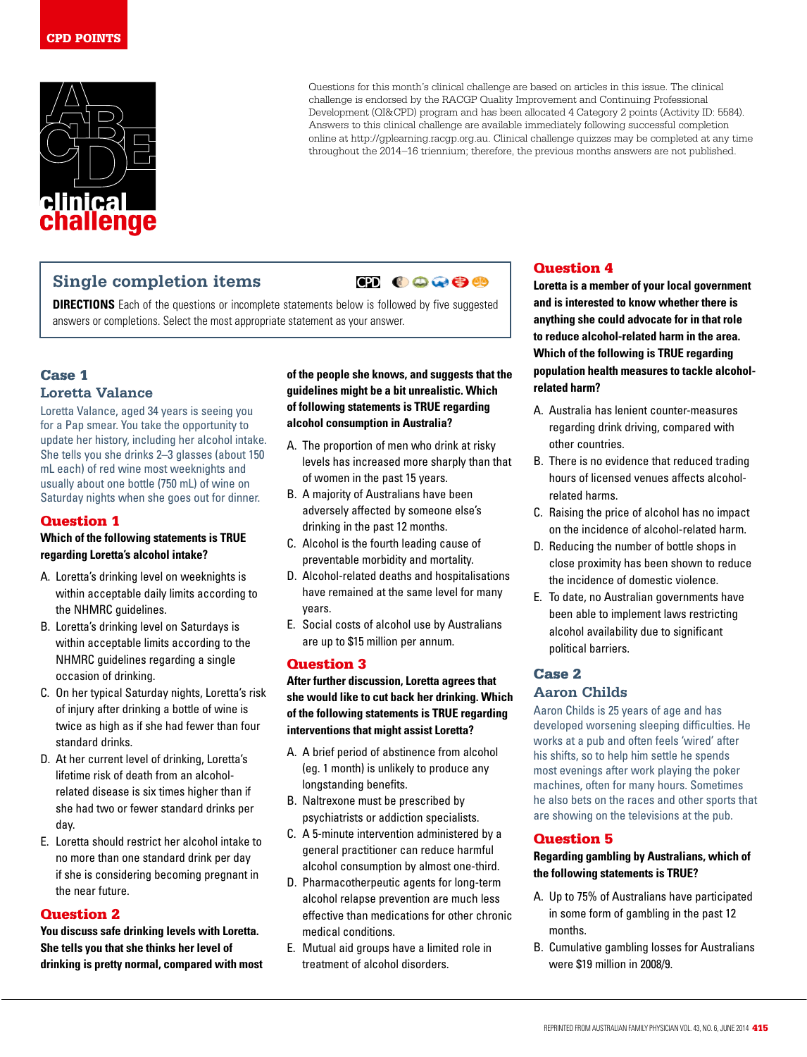

Questions for this month's clinical challenge are based on articles in this issue. The clinical challenge is endorsed by the RACGP Quality Improvement and Continuing Professional Development (QI&CPD) program and has been allocated 4 Category 2 points (Activity ID: 5584). Answers to this clinical challenge are available immediately following successful completion online at http://gplearning.racgp.org.au. Clinical challenge quizzes may be completed at any time throughout the 2014–16 triennium; therefore, the previous months answers are not published.

## **Single completion items**

# **OD COOOO**

**DIRECTIONS** Each of the questions or incomplete statements below is followed by five suggested answers or completions. Select the most appropriate statement as your answer.

## Case 1 **Loretta Valance**

Loretta Valance, aged 34 years is seeing you for a Pap smear. You take the opportunity to update her history, including her alcohol intake. She tells you she drinks 2–3 glasses (about 150 mL each) of red wine most weeknights and usually about one bottle (750 mL) of wine on Saturday nights when she goes out for dinner.

### Question 1

#### **Which of the following statements is TRUE regarding Loretta's alcohol intake?**

- A. Loretta's drinking level on weeknights is within acceptable daily limits according to the NHMRC guidelines.
- B. Loretta's drinking level on Saturdays is within acceptable limits according to the NHMRC guidelines regarding a single occasion of drinking.
- C. On her typical Saturday nights, Loretta's risk of injury after drinking a bottle of wine is twice as high as if she had fewer than four standard drinks.
- D. At her current level of drinking, Loretta's lifetime risk of death from an alcoholrelated disease is six times higher than if she had two or fewer standard drinks per day.
- E. Loretta should restrict her alcohol intake to no more than one standard drink per day if she is considering becoming pregnant in the near future.

## Question 2

**You discuss safe drinking levels with Loretta. She tells you that she thinks her level of drinking is pretty normal, compared with most**  **of the people she knows, and suggests that the guidelines might be a bit unrealistic. Which of following statements is TRUE regarding alcohol consumption in Australia?**

- A. The proportion of men who drink at risky levels has increased more sharply than that of women in the past 15 years.
- B. A majority of Australians have been adversely affected by someone else's drinking in the past 12 months.
- C. Alcohol is the fourth leading cause of preventable morbidity and mortality.
- D. Alcohol-related deaths and hospitalisations have remained at the same level for many years.
- E. Social costs of alcohol use by Australians are up to \$15 million per annum.

### Question 3

**After further discussion, Loretta agrees that she would like to cut back her drinking. Which of the following statements is TRUE regarding interventions that might assist Loretta?**

- A. A brief period of abstinence from alcohol (eg. 1 month) is unlikely to produce any longstanding benefits.
- B. Naltrexone must be prescribed by psychiatrists or addiction specialists.
- C. A 5-minute intervention administered by a general practitioner can reduce harmful alcohol consumption by almost one-third.
- D. Pharmacotherpeutic agents for long-term alcohol relapse prevention are much less effective than medications for other chronic medical conditions.
- E. Mutual aid groups have a limited role in treatment of alcohol disorders.

## Question 4

**Loretta is a member of your local government and is interested to know whether there is anything she could advocate for in that role to reduce alcohol-related harm in the area. Which of the following is TRUE regarding population health measures to tackle alcoholrelated harm?**

- A. Australia has lenient counter-measures regarding drink driving, compared with other countries.
- B. There is no evidence that reduced trading hours of licensed venues affects alcoholrelated harms.
- C. Raising the price of alcohol has no impact on the incidence of alcohol-related harm.
- D. Reducing the number of bottle shops in close proximity has been shown to reduce the incidence of domestic violence.
- E. To date, no Australian governments have been able to implement laws restricting alcohol availability due to significant political barriers.

## Case 2 **Aaron Childs**

Aaron Childs is 25 years of age and has developed worsening sleeping difficulties. He works at a pub and often feels 'wired' after his shifts, so to help him settle he spends most evenings after work playing the poker machines, often for many hours. Sometimes he also bets on the races and other sports that are showing on the televisions at the pub.

### Question 5

**Regarding gambling by Australians, which of the following statements is TRUE?**

- A. Up to 75% of Australians have participated in some form of gambling in the past 12 months.
- B. Cumulative gambling losses for Australians were \$19 million in 2008/9.